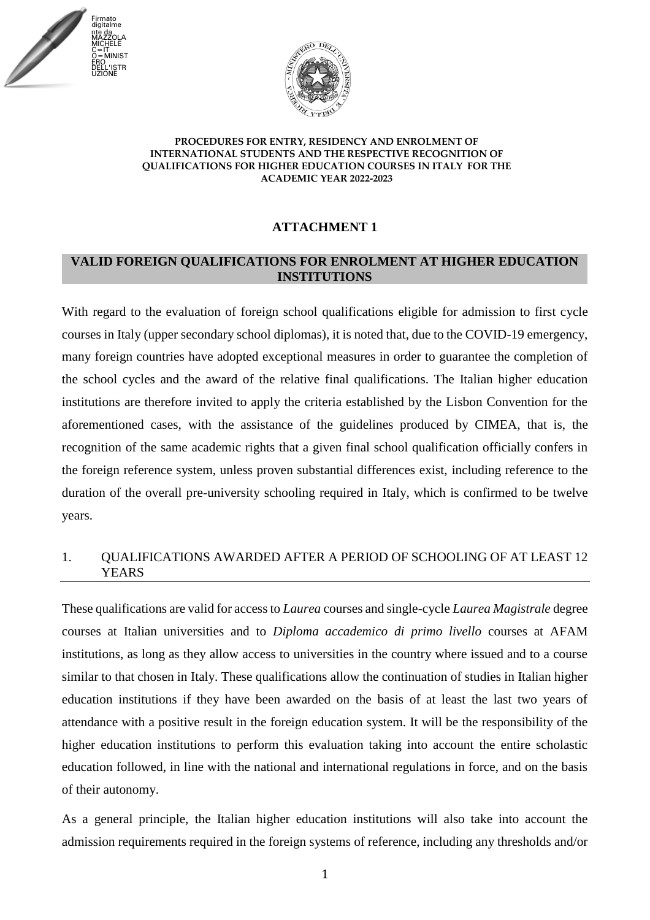



# **ATTACHMENT 1**

### **VALID FOREIGN QUALIFICATIONS FOR ENROLMENT AT HIGHER EDUCATION INSTITUTIONS**

With regard to the evaluation of foreign school qualifications eligible for admission to first cycle courses in Italy (upper secondary school diplomas), it is noted that, due to the COVID-19 emergency, many foreign countries have adopted exceptional measures in order to guarantee the completion of the school cycles and the award of the relative final qualifications. The Italian higher education institutions are therefore invited to apply the criteria established by the Lisbon Convention for the aforementioned cases, with the assistance of the guidelines produced by CIMEA, that is, the recognition of the same academic rights that a given final school qualification officially confers in the foreign reference system, unless proven substantial differences exist, including reference to the duration of the overall pre-university schooling required in Italy, which is confirmed to be twelve years.

### 1. QUALIFICATIONS AWARDED AFTER A PERIOD OF SCHOOLING OF AT LEAST 12 YEARS

These qualifications are valid for access to *Laurea* courses and single-cycle *Laurea Magistrale* degree courses at Italian universities and to *Diploma accademico di primo livello* courses at AFAM institutions, as long as they allow access to universities in the country where issued and to a course similar to that chosen in Italy. These qualifications allow the continuation of studies in Italian higher education institutions if they have been awarded on the basis of at least the last two years of attendance with a positive result in the foreign education system. It will be the responsibility of the higher education institutions to perform this evaluation taking into account the entire scholastic education followed, in line with the national and international regulations in force, and on the basis of their autonomy.

As a general principle, the Italian higher education institutions will also take into account the admission requirements required in the foreign systems of reference, including any thresholds and/or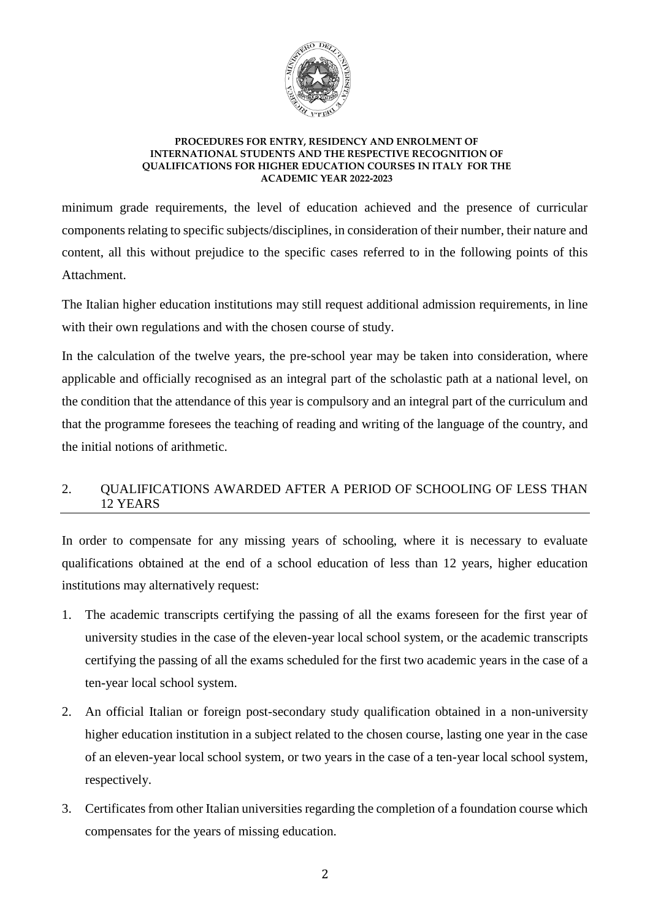

minimum grade requirements, the level of education achieved and the presence of curricular components relating to specific subjects/disciplines, in consideration of their number, their nature and content, all this without prejudice to the specific cases referred to in the following points of this Attachment.

The Italian higher education institutions may still request additional admission requirements, in line with their own regulations and with the chosen course of study.

In the calculation of the twelve years, the pre-school year may be taken into consideration, where applicable and officially recognised as an integral part of the scholastic path at a national level, on the condition that the attendance of this year is compulsory and an integral part of the curriculum and that the programme foresees the teaching of reading and writing of the language of the country, and the initial notions of arithmetic.

# 2. QUALIFICATIONS AWARDED AFTER A PERIOD OF SCHOOLING OF LESS THAN 12 YEARS

In order to compensate for any missing years of schooling, where it is necessary to evaluate qualifications obtained at the end of a school education of less than 12 years, higher education institutions may alternatively request:

- 1. The academic transcripts certifying the passing of all the exams foreseen for the first year of university studies in the case of the eleven-year local school system, or the academic transcripts certifying the passing of all the exams scheduled for the first two academic years in the case of a ten-year local school system.
- 2. An official Italian or foreign post-secondary study qualification obtained in a non-university higher education institution in a subject related to the chosen course, lasting one year in the case of an eleven-year local school system, or two years in the case of a ten-year local school system, respectively.
- 3. Certificates from other Italian universities regarding the completion of a foundation course which compensates for the years of missing education.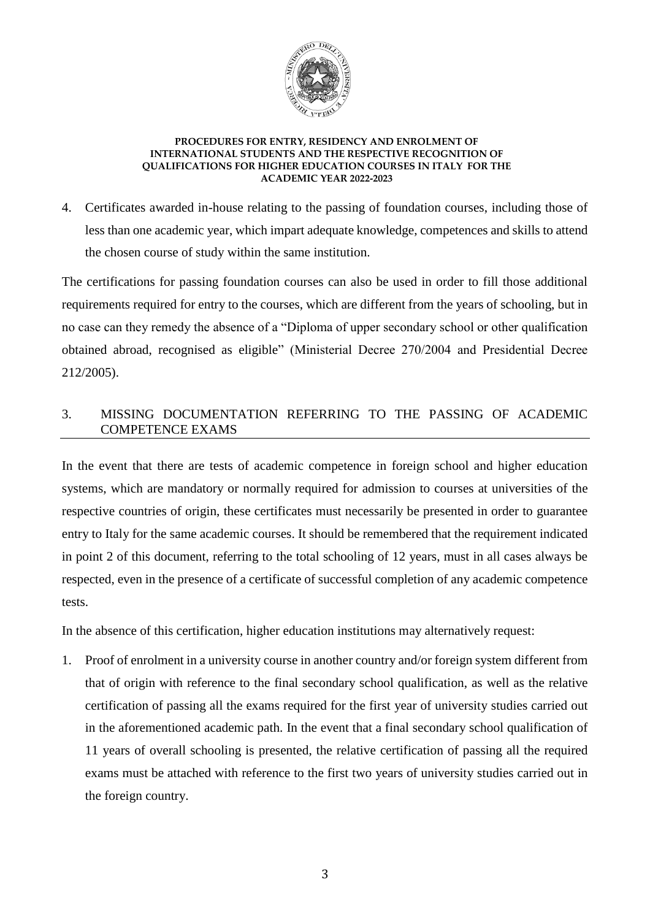

4. Certificates awarded in-house relating to the passing of foundation courses, including those of less than one academic year, which impart adequate knowledge, competences and skills to attend the chosen course of study within the same institution.

The certifications for passing foundation courses can also be used in order to fill those additional requirements required for entry to the courses, which are different from the years of schooling, but in no case can they remedy the absence of a "Diploma of upper secondary school or other qualification obtained abroad, recognised as eligible" (Ministerial Decree 270/2004 and Presidential Decree 212/2005).

# 3. MISSING DOCUMENTATION REFERRING TO THE PASSING OF ACADEMIC COMPETENCE EXAMS

In the event that there are tests of academic competence in foreign school and higher education systems, which are mandatory or normally required for admission to courses at universities of the respective countries of origin, these certificates must necessarily be presented in order to guarantee entry to Italy for the same academic courses. It should be remembered that the requirement indicated in point 2 of this document, referring to the total schooling of 12 years, must in all cases always be respected, even in the presence of a certificate of successful completion of any academic competence tests.

In the absence of this certification, higher education institutions may alternatively request:

1. Proof of enrolment in a university course in another country and/or foreign system different from that of origin with reference to the final secondary school qualification, as well as the relative certification of passing all the exams required for the first year of university studies carried out in the aforementioned academic path. In the event that a final secondary school qualification of 11 years of overall schooling is presented, the relative certification of passing all the required exams must be attached with reference to the first two years of university studies carried out in the foreign country.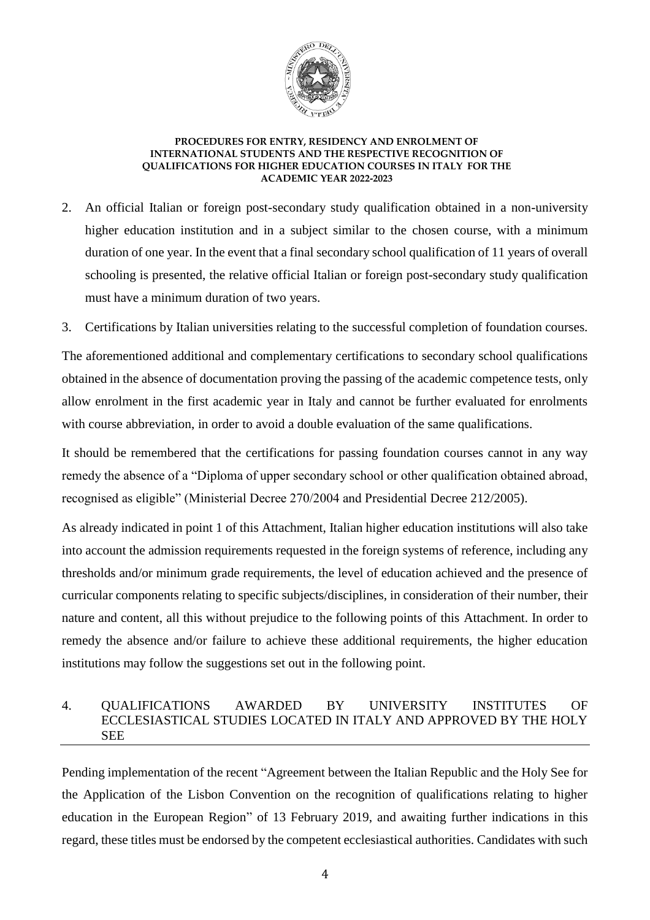

- 2. An official Italian or foreign post-secondary study qualification obtained in a non-university higher education institution and in a subject similar to the chosen course, with a minimum duration of one year. In the event that a final secondary school qualification of 11 years of overall schooling is presented, the relative official Italian or foreign post-secondary study qualification must have a minimum duration of two years.
- 3. Certifications by Italian universities relating to the successful completion of foundation courses.

The aforementioned additional and complementary certifications to secondary school qualifications obtained in the absence of documentation proving the passing of the academic competence tests, only allow enrolment in the first academic year in Italy and cannot be further evaluated for enrolments with course abbreviation, in order to avoid a double evaluation of the same qualifications.

It should be remembered that the certifications for passing foundation courses cannot in any way remedy the absence of a "Diploma of upper secondary school or other qualification obtained abroad, recognised as eligible" (Ministerial Decree 270/2004 and Presidential Decree 212/2005).

As already indicated in point 1 of this Attachment, Italian higher education institutions will also take into account the admission requirements requested in the foreign systems of reference, including any thresholds and/or minimum grade requirements, the level of education achieved and the presence of curricular components relating to specific subjects/disciplines, in consideration of their number, their nature and content, all this without prejudice to the following points of this Attachment. In order to remedy the absence and/or failure to achieve these additional requirements, the higher education institutions may follow the suggestions set out in the following point.

### 4. QUALIFICATIONS AWARDED BY UNIVERSITY INSTITUTES OF ECCLESIASTICAL STUDIES LOCATED IN ITALY AND APPROVED BY THE HOLY **SEE**

Pending implementation of the recent "Agreement between the Italian Republic and the Holy See for the Application of the Lisbon Convention on the recognition of qualifications relating to higher education in the European Region" of 13 February 2019, and awaiting further indications in this regard, these titles must be endorsed by the competent ecclesiastical authorities. Candidates with such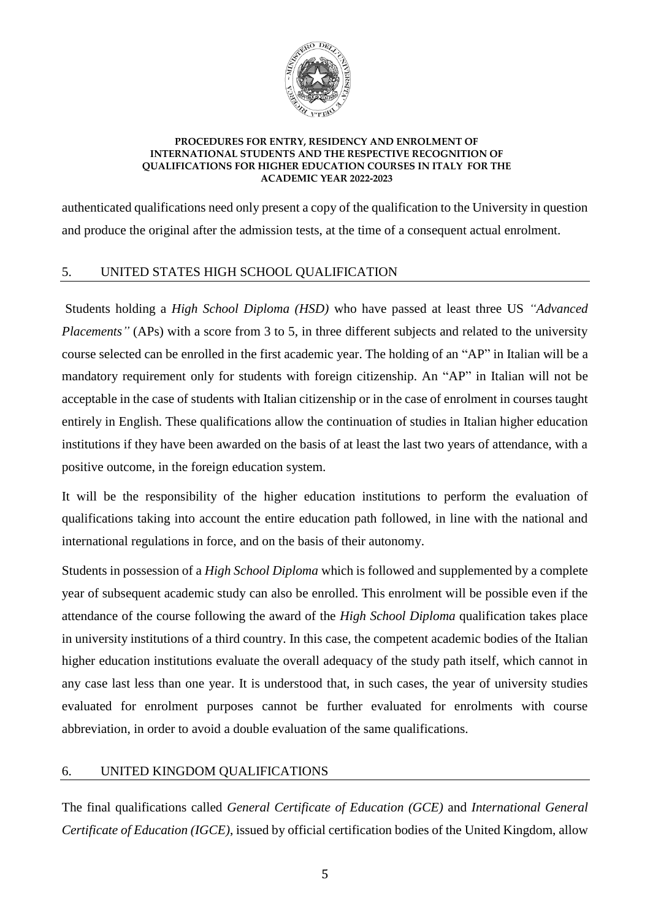

authenticated qualifications need only present a copy of the qualification to the University in question and produce the original after the admission tests, at the time of a consequent actual enrolment.

# 5. UNITED STATES HIGH SCHOOL QUALIFICATION

Students holding a *High School Diploma (HSD)* who have passed at least three US *"Advanced Placements"* (APs) with a score from 3 to 5, in three different subjects and related to the university course selected can be enrolled in the first academic year. The holding of an "AP" in Italian will be a mandatory requirement only for students with foreign citizenship. An "AP" in Italian will not be acceptable in the case of students with Italian citizenship or in the case of enrolment in courses taught entirely in English. These qualifications allow the continuation of studies in Italian higher education institutions if they have been awarded on the basis of at least the last two years of attendance, with a positive outcome, in the foreign education system.

It will be the responsibility of the higher education institutions to perform the evaluation of qualifications taking into account the entire education path followed, in line with the national and international regulations in force, and on the basis of their autonomy.

Students in possession of a *High School Diploma* which is followed and supplemented by a complete year of subsequent academic study can also be enrolled. This enrolment will be possible even if the attendance of the course following the award of the *High School Diploma* qualification takes place in university institutions of a third country. In this case, the competent academic bodies of the Italian higher education institutions evaluate the overall adequacy of the study path itself, which cannot in any case last less than one year. It is understood that, in such cases, the year of university studies evaluated for enrolment purposes cannot be further evaluated for enrolments with course abbreviation, in order to avoid a double evaluation of the same qualifications.

### 6. UNITED KINGDOM QUALIFICATIONS

The final qualifications called *General Certificate of Education (GCE)* and *International General Certificate of Education (IGCE)*, issued by official certification bodies of the United Kingdom, allow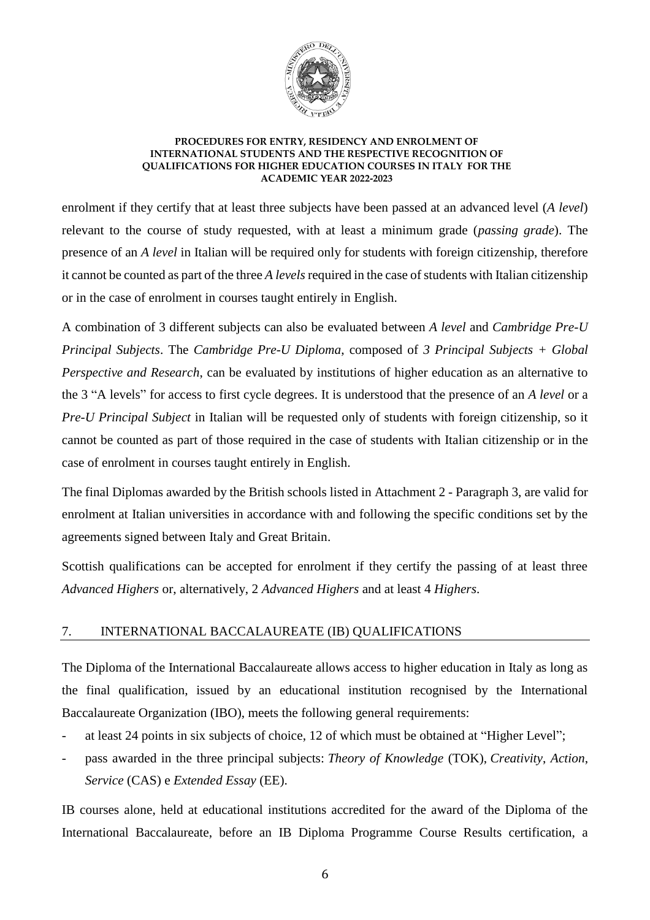

enrolment if they certify that at least three subjects have been passed at an advanced level (*A level*) relevant to the course of study requested, with at least a minimum grade (*passing grade*). The presence of an *A level* in Italian will be required only for students with foreign citizenship, therefore it cannot be counted as part of the three *A levels* required in the case of students with Italian citizenship or in the case of enrolment in courses taught entirely in English.

A combination of 3 different subjects can also be evaluated between *A level* and *Cambridge Pre-U Principal Subjects*. The *Cambridge Pre-U Diploma*, composed of *3 Principal Subjects + Global Perspective and Research*, can be evaluated by institutions of higher education as an alternative to the 3 "A levels" for access to first cycle degrees. It is understood that the presence of an *A level* or a *Pre-U Principal Subject* in Italian will be requested only of students with foreign citizenship, so it cannot be counted as part of those required in the case of students with Italian citizenship or in the case of enrolment in courses taught entirely in English.

The final Diplomas awarded by the British schools listed in Attachment 2 - Paragraph 3, are valid for enrolment at Italian universities in accordance with and following the specific conditions set by the agreements signed between Italy and Great Britain.

Scottish qualifications can be accepted for enrolment if they certify the passing of at least three *Advanced Highers* or, alternatively, 2 *Advanced Highers* and at least 4 *Highers*.

### 7. INTERNATIONAL BACCALAUREATE (IB) QUALIFICATIONS

The Diploma of the International Baccalaureate allows access to higher education in Italy as long as the final qualification, issued by an educational institution recognised by the International Baccalaureate Organization (IBO), meets the following general requirements:

- at least 24 points in six subjects of choice, 12 of which must be obtained at "Higher Level";
- pass awarded in the three principal subjects: *Theory of Knowledge* (TOK), *Creativity*, *Action*, *Service* (CAS) e *Extended Essay* (EE).

IB courses alone, held at educational institutions accredited for the award of the Diploma of the International Baccalaureate, before an IB Diploma Programme Course Results certification, a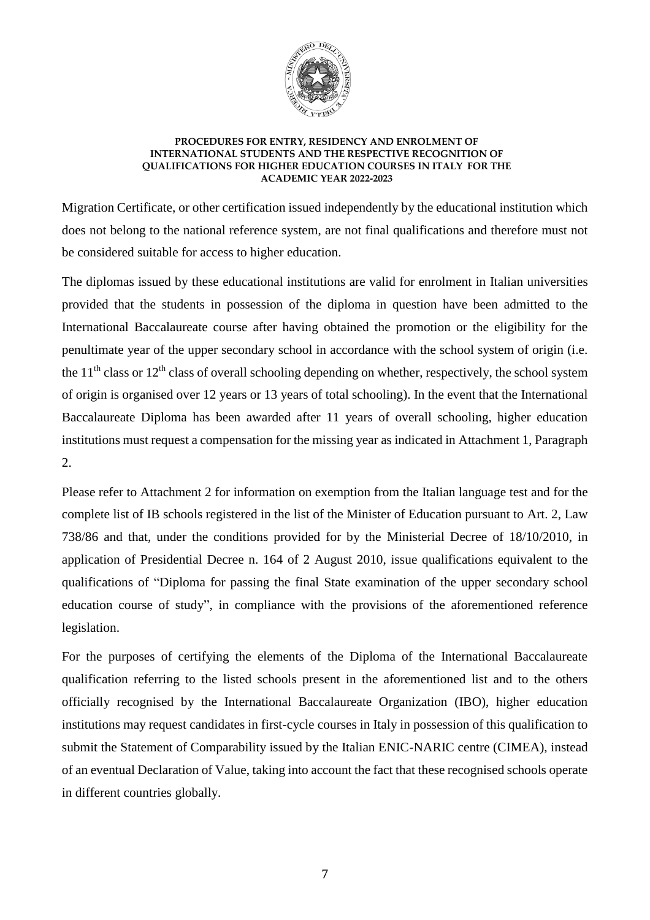

Migration Certificate, or other certification issued independently by the educational institution which does not belong to the national reference system, are not final qualifications and therefore must not be considered suitable for access to higher education.

The diplomas issued by these educational institutions are valid for enrolment in Italian universities provided that the students in possession of the diploma in question have been admitted to the International Baccalaureate course after having obtained the promotion or the eligibility for the penultimate year of the upper secondary school in accordance with the school system of origin (i.e. the  $11<sup>th</sup>$  class or  $12<sup>th</sup>$  class of overall schooling depending on whether, respectively, the school system of origin is organised over 12 years or 13 years of total schooling). In the event that the International Baccalaureate Diploma has been awarded after 11 years of overall schooling, higher education institutions must request a compensation for the missing year as indicated in Attachment 1, Paragraph 2.

Please refer to Attachment 2 for information on exemption from the Italian language test and for the complete list of IB schools registered in the list of the Minister of Education pursuant to Art. 2, Law 738/86 and that, under the conditions provided for by the Ministerial Decree of 18/10/2010, in application of Presidential Decree n. 164 of 2 August 2010, issue qualifications equivalent to the qualifications of "Diploma for passing the final State examination of the upper secondary school education course of study", in compliance with the provisions of the aforementioned reference legislation.

For the purposes of certifying the elements of the Diploma of the International Baccalaureate qualification referring to the listed schools present in the aforementioned list and to the others officially recognised by the International Baccalaureate Organization (IBO), higher education institutions may request candidates in first-cycle courses in Italy in possession of this qualification to submit the Statement of Comparability issued by the Italian ENIC-NARIC centre (CIMEA), instead of an eventual Declaration of Value, taking into account the fact that these recognised schools operate in different countries globally.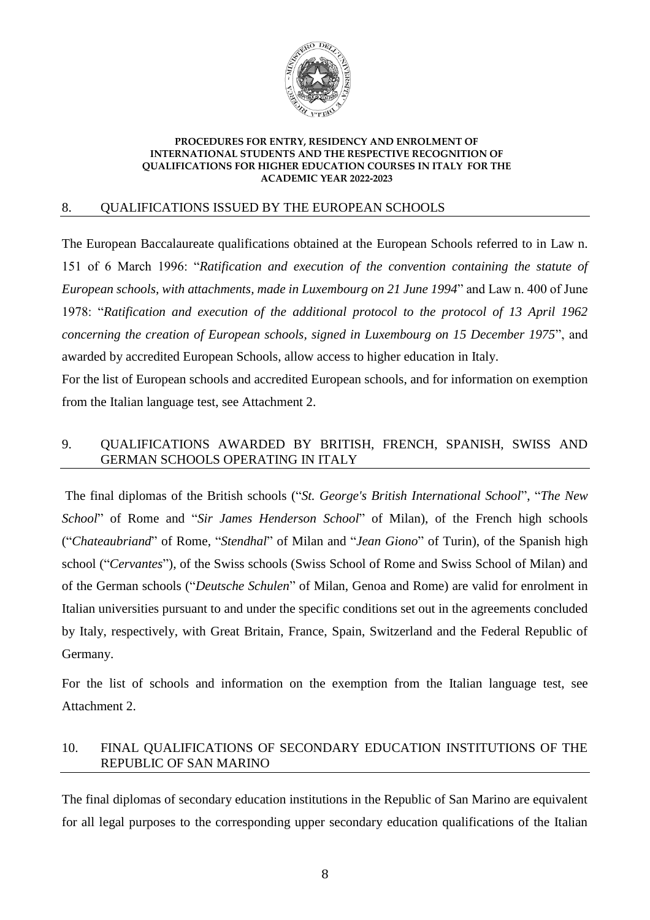

### 8. QUALIFICATIONS ISSUED BY THE EUROPEAN SCHOOLS

The European Baccalaureate qualifications obtained at the European Schools referred to in Law n. 151 of 6 March 1996: "*Ratification and execution of the convention containing the statute of European schools, with attachments, made in Luxembourg on 21 June 1994*" and Law n. 400 of June 1978: "*Ratification and execution of the additional protocol to the protocol of 13 April 1962 concerning the creation of European schools, signed in Luxembourg on 15 December 1975*", and awarded by accredited European Schools, allow access to higher education in Italy.

For the list of European schools and accredited European schools, and for information on exemption from the Italian language test, see Attachment 2.

## 9. QUALIFICATIONS AWARDED BY BRITISH, FRENCH, SPANISH, SWISS AND GERMAN SCHOOLS OPERATING IN ITALY

The final diplomas of the British schools ("*St. George's British International School*", "*The New School*" of Rome and "*Sir James Henderson School*" of Milan), of the French high schools ("*Chateaubriand*" of Rome, "*Stendhal*" of Milan and "*Jean Giono*" of Turin), of the Spanish high school ("*Cervantes*"), of the Swiss schools (Swiss School of Rome and Swiss School of Milan) and of the German schools ("*Deutsche Schulen*" of Milan, Genoa and Rome) are valid for enrolment in Italian universities pursuant to and under the specific conditions set out in the agreements concluded by Italy, respectively, with Great Britain, France, Spain, Switzerland and the Federal Republic of Germany.

For the list of schools and information on the exemption from the Italian language test, see Attachment 2.

## 10. FINAL QUALIFICATIONS OF SECONDARY EDUCATION INSTITUTIONS OF THE REPUBLIC OF SAN MARINO

The final diplomas of secondary education institutions in the Republic of San Marino are equivalent for all legal purposes to the corresponding upper secondary education qualifications of the Italian